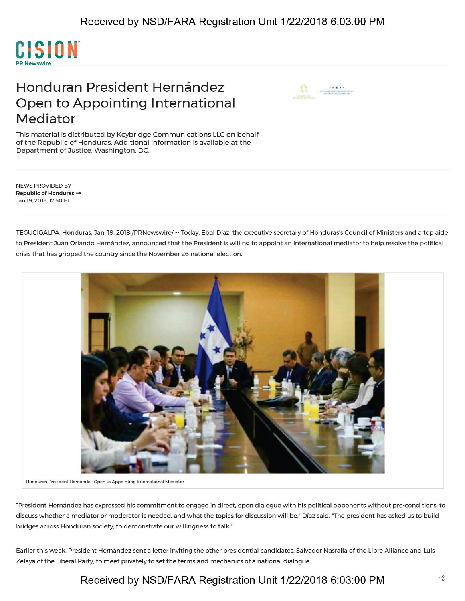

## Honduran President Hernández Open to Appointing International Mediator



This material is distributed by Keybridge Communications LLC on behalf of the Republic of Honduras. Additional information is available at the Department of Justice, Washington, DC.

NEWS PROVIDED BY **Republic of Honduras —»** Jan 19, 2018,17:50 ET

TEGUCIGALPA, Honduras, Jan. 19, 2018 /PRNewswire/ — Today, Ebal Diaz, the executive secretary of Honduras's Council of Ministers and a top aide to President Juan Orlando Hernández, announced that the President is willing to appoint an international mediator to help resolve the political crisis that has gripped the country since the November 26 national election.



**Honduran President Hernandez Open to Appointing International Mediator**

"President Hernandez has expressed his commitment to engage in direct, open dialogue with his political opponents without pre-conditions, to discuss whether a mediator or moderator is needed, and what the topics for discussion will be," Diaz said. "The president has asked us to build bridges across Honduran society, to demonstrate our willingness to talk."

Earlier this week, President Hernández sent a letter inviting the other presidential candidates, Salvador Nasralla of the Libre Alliance and Luis Zelaya of the Liberal Party, to meet privately to set the terms and mechanics of a national dialogue.